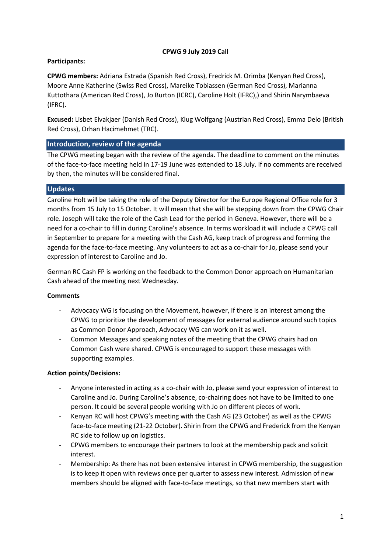# **CPWG 9 July 2019 Call**

# **Participants:**

**CPWG members:** Adriana Estrada (Spanish Red Cross), Fredrick M. Orimba (Kenyan Red Cross), Moore Anne Katherine (Swiss Red Cross), Mareike Tobiassen (German Red Cross), Marianna Kuttothara (American Red Cross), Jo Burton (ICRC), Caroline Holt (IFRC),) and Shirin Narymbaeva (IFRC).

**Excused:** Lisbet Elvakjaer (Danish Red Cross), Klug Wolfgang (Austrian Red Cross), Emma Delo (British Red Cross), Orhan Hacimehmet (TRC).

## **Introduction, review of the agenda**

The CPWG meeting began with the review of the agenda. The deadline to comment on the minutes of the face-to-face meeting held in 17-19 June was extended to 18 July. If no comments are received by then, the minutes will be considered final.

## **Updates**

Caroline Holt will be taking the role of the Deputy Director for the Europe Regional Office role for 3 months from 15 July to 15 October. It will mean that she will be stepping down from the CPWG Chair role. Joseph will take the role of the Cash Lead for the period in Geneva. However, there will be a need for a co-chair to fill in during Caroline's absence. In terms workload it will include a CPWG call in September to prepare for a meeting with the Cash AG, keep track of progress and forming the agenda for the face-to-face meeting. Any volunteers to act as a co-chair for Jo, please send your expression of interest to Caroline and Jo.

German RC Cash FP is working on the feedback to the Common Donor approach on Humanitarian Cash ahead of the meeting next Wednesday.

## **Comments**

- Advocacy WG is focusing on the Movement, however, if there is an interest among the CPWG to prioritize the development of messages for external audience around such topics as Common Donor Approach, Advocacy WG can work on it as well.
- Common Messages and speaking notes of the meeting that the CPWG chairs had on Common Cash were shared. CPWG is encouraged to support these messages with supporting examples.

## **Action points/Decisions:**

- Anyone interested in acting as a co-chair with Jo, please send your expression of interest to Caroline and Jo. During Caroline's absence, co-chairing does not have to be limited to one person. It could be several people working with Jo on different pieces of work.
- Kenyan RC will host CPWG's meeting with the Cash AG (23 October) as well as the CPWG face-to-face meeting (21-22 October). Shirin from the CPWG and Frederick from the Kenyan RC side to follow up on logistics.
- CPWG members to encourage their partners to look at the membership pack and solicit interest.
- Membership: As there has not been extensive interest in CPWG membership, the suggestion is to keep it open with reviews once per quarter to assess new interest. Admission of new members should be aligned with face-to-face meetings, so that new members start with